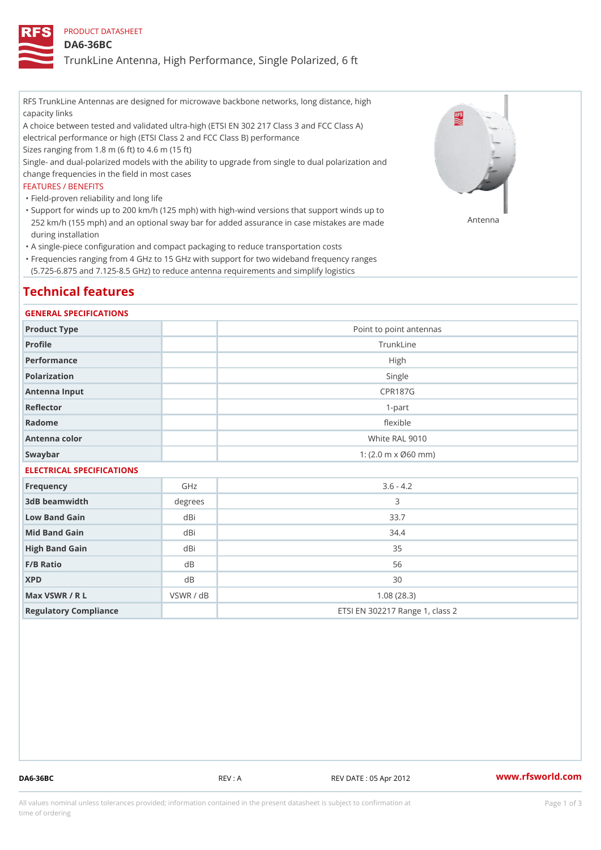### PRODUCT DATASHEET

### DA6-36BC

TrunkLine Antenna, High Performance, Single Polarized, 6 ft

RFS TrunkLine Antennas are designed for microwave backbone networks, long distance, high capacity links

A choice between tested and validated ultra-high (ETSI EN 302 217 Class 3 and FCC Class A) electrical performance or high (ETSI Class 2 and FCC Class B) performance

Sizes ranging from 1.8 m (6 ft) to 4.6 m (15 ft)

Single- and dual-polarized models with the ability to upgrade from single to dual polarization and change frequencies in the field in most cases

#### FEATURES / BENEFITS

"Field-proven reliability and long life

- Support for winds up to 200 km/h (125 mph) with high-wind versions that support winds up to " 252 km/h (155 mph) and an optional sway bar for added assurance in case m S # \$ R & B are made during installation
- "A single-piece configuration and compact packaging to reduce transportation costs
- Frequencies ranging from 4 GHz to 15 GHz with support for two wideband frequency ranges " (5.725-6.875 and 7.125-8.5 GHz) to reduce antenna requirements and simplify logistics

# Technical features

#### GENERAL SPECIFICATIONS

| Product Type  | Point to point antennas                                 |
|---------------|---------------------------------------------------------|
| Profile       | TrunkLine                                               |
| Performance   | High                                                    |
| Polarization  | Single                                                  |
| Antenna Input | CPR187G                                                 |
| Reflector     | $1-part$                                                |
| Radome        | flexible                                                |
| Antenna color | White RAL 9010                                          |
| Swaybar       | 1: $(2.0 \, \text{m} \times \emptyset 60 \, \text{mm})$ |

## ELECTRICAL SPECIFICATIONS

| Frequency             | GHz       | $3.6 - 4.2$                     |
|-----------------------|-----------|---------------------------------|
| 3dB beamwidth         | degree    | 3                               |
| Low Band Gain         | dBi       | 33.7                            |
| Mid Band Gain         | dBi       | 34.4                            |
| High Band Gain        | dBi       | 35                              |
| $F/B$ Ratio           | d B       | 56                              |
| <b>XPD</b>            | d B       | 30                              |
| Max VSWR / R L        | VSWR / dB | 1.08(28.3)                      |
| Regulatory Compliance |           | ETSI EN 302217 Range 1, class 2 |

DA6-36BC REV : A REV DATE : 05 Apr 2012 [www.](https://www.rfsworld.com)rfsworld.com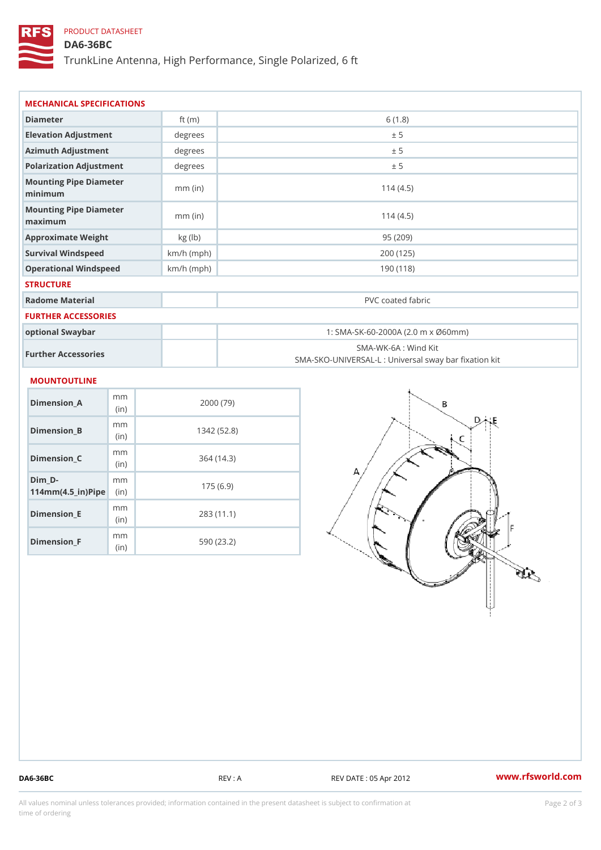## PRODUCT DATASHEET

## DA6-36BC

TrunkLine Antenna, High Performance, Single Polarized, 6 ft

| MECHANICAL SPECIFICATIONS                             |                        |              |                                                                           |  |  |
|-------------------------------------------------------|------------------------|--------------|---------------------------------------------------------------------------|--|--|
| Diameter                                              |                        | ft $(m)$     | 6(1.8)                                                                    |  |  |
| Elevation Adjustment                                  |                        | degree:      | ± 5                                                                       |  |  |
| Azimuth Adjustment                                    |                        | degrees      | ± 5                                                                       |  |  |
| Polarization Adjustment                               |                        | degrees      | ± 5                                                                       |  |  |
| Mounting Pipe Diameter<br>minimum                     |                        | $mm$ (in)    | 114(4.5)                                                                  |  |  |
| Mounting Pipe Diameter<br>maximum                     |                        | $mm$ (in)    | 114(4.5)                                                                  |  |  |
| Approximate Weight                                    |                        | kg (lb)      | 95 (209)                                                                  |  |  |
| Survival Windspeed                                    |                        | $km/h$ (mph) | 200 (125)                                                                 |  |  |
| Operational Windspeed                                 |                        | $km/h$ (mph) | 190 (118)                                                                 |  |  |
| <b>STRUCTURE</b>                                      |                        |              |                                                                           |  |  |
| Radome Material                                       |                        |              | PVC coated fabric                                                         |  |  |
| FURTHER ACCESSORIES                                   |                        |              |                                                                           |  |  |
| optional Swaybar                                      |                        |              | 1: SMA-SK-60-2000A (2.0 m x Ø60mm)                                        |  |  |
|                                                       | Further Accessories    |              | SMA-WK-6A : Wind Kit<br>SMA-SKO-UNIVERSAL-L : Universal sway bar fixation |  |  |
| MOUNTOUTLINE                                          |                        |              |                                                                           |  |  |
| $Dimension_A$                                         | m m<br>(in)            |              | 2000(79)                                                                  |  |  |
| $Dimension_B$                                         | m <sub>m</sub><br>(in) |              | 1342(52.8)                                                                |  |  |
| $Dimension_C$                                         | m m<br>(in             |              | 364(14.3)                                                                 |  |  |
| $Dim_D - D -$<br>$114$ m m (4.5 _ ir ) $\sqrt{$ imple | m <sub>m</sub>         |              | 175(6.9)                                                                  |  |  |

Dimension\_E

Dimension\_F

mm (in)

m<sub>m</sub> (in)

283 (11.1)

590 (23.2)

DA6-36BC REV : A REV DATE : 05 Apr 2012 WWW.rfsworld.com